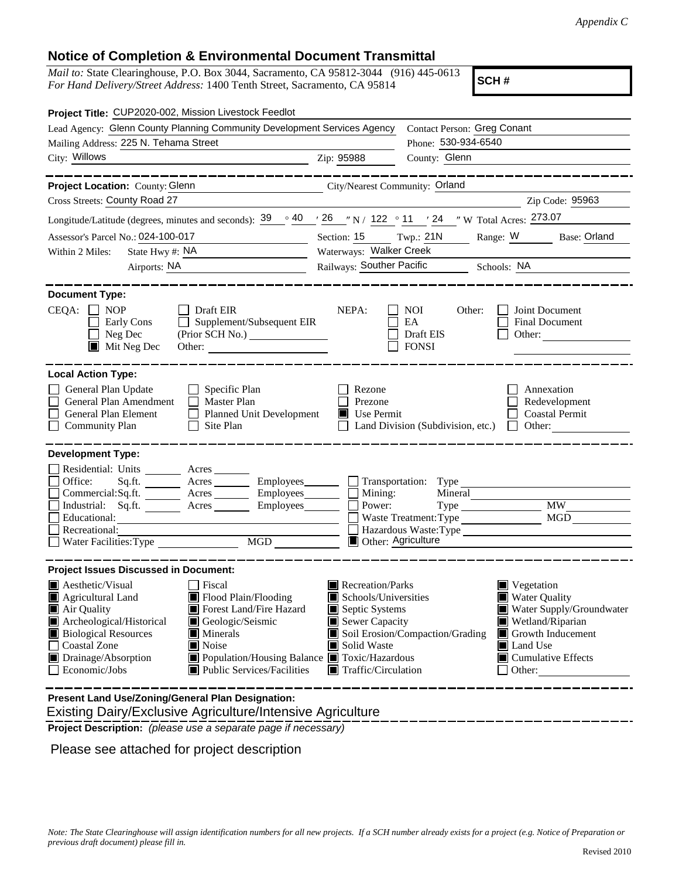## **Notice of Completion & Environmental Document Transmittal**

*Mail to:* State Clearinghouse, P.O. Box 3044, Sacramento, CA 95812-3044 (916) 445-0613 *For Hand Delivery/Street Address:* 1400 Tenth Street, Sacramento, CA 95814

**SCH #**

| Project Title: CUP2020-002, Mission Livestock Feedlot                                                                                                                                                                                                                                                                                                                                                                                        |                                                                                                                                   |                                                         |                                                                                                                                                                    |  |
|----------------------------------------------------------------------------------------------------------------------------------------------------------------------------------------------------------------------------------------------------------------------------------------------------------------------------------------------------------------------------------------------------------------------------------------------|-----------------------------------------------------------------------------------------------------------------------------------|---------------------------------------------------------|--------------------------------------------------------------------------------------------------------------------------------------------------------------------|--|
| Lead Agency: Glenn County Planning Community Development Services Agency                                                                                                                                                                                                                                                                                                                                                                     | <b>Contact Person: Greg Conant</b>                                                                                                |                                                         |                                                                                                                                                                    |  |
| Mailing Address: 225 N. Tehama Street                                                                                                                                                                                                                                                                                                                                                                                                        |                                                                                                                                   | Phone: 530-934-6540                                     |                                                                                                                                                                    |  |
| City: Willows<br><u> 1980 - Johann Barn, mars eta bainar eta baina eta baina eta baina eta baina eta baina eta baina eta baina e</u>                                                                                                                                                                                                                                                                                                         | Zip: 95988                                                                                                                        | County: Glenn                                           |                                                                                                                                                                    |  |
| Project Location: County: Glenn<br>City/Nearest Community: Orland                                                                                                                                                                                                                                                                                                                                                                            |                                                                                                                                   |                                                         |                                                                                                                                                                    |  |
| Cross Streets: County Road 27                                                                                                                                                                                                                                                                                                                                                                                                                |                                                                                                                                   |                                                         | Zip Code: 95963                                                                                                                                                    |  |
| Longitude/Latitude (degrees, minutes and seconds): $\frac{39}{9}$ $\frac{40}{7}$ $\frac{26}{7}$ N / 122 $\degree$ 11 $\degree$ 24 $\degree$ W Total Acres: 273.07                                                                                                                                                                                                                                                                            |                                                                                                                                   |                                                         |                                                                                                                                                                    |  |
| Assessor's Parcel No.: 024-100-017<br><u> 1990 - Johann Barn, mars ann an t-</u>                                                                                                                                                                                                                                                                                                                                                             | Section: $15$ Twp.: $21N$                                                                                                         |                                                         | Range: W Base: Orland                                                                                                                                              |  |
| State Hwy #: NA<br>Within 2 Miles:<br><u> 1989 - Johann Barbara, martxa a</u>                                                                                                                                                                                                                                                                                                                                                                |                                                                                                                                   | Waterways: Walker Creek                                 |                                                                                                                                                                    |  |
| Airports: NA                                                                                                                                                                                                                                                                                                                                                                                                                                 |                                                                                                                                   | Railways: Souther Pacific Schools: NA                   |                                                                                                                                                                    |  |
| <b>Document Type:</b><br>CEQA:<br>$\Box$ NOP<br>Draft EIR<br>Supplement/Subsequent EIR<br>Early Cons<br>$\Box$<br>Neg Dec<br>$\blacksquare$ Mit Neg Dec<br>Other:                                                                                                                                                                                                                                                                            | NEPA:                                                                                                                             | <b>NOI</b><br>Other:<br>EA<br>Draft EIS<br><b>FONSI</b> | Joint Document<br>Final Document<br>Other:                                                                                                                         |  |
| <b>Local Action Type:</b><br>General Plan Update<br>Specific Plan<br>General Plan Amendment<br>Master Plan<br>General Plan Element<br><b>Planned Unit Development</b><br><b>Community Plan</b><br>Site Plan                                                                                                                                                                                                                                  | Rezone<br>Prezone<br>Use Permit                                                                                                   | Land Division (Subdivision, etc.)                       | Annexation<br>Redevelopment<br><b>Coastal Permit</b><br>Other:<br>$\mathbf{L}$                                                                                     |  |
| <b>Development Type:</b><br>Residential: Units _______<br>Acres<br>Office:<br>Sq.ft.                                                                                                                                                                                                                                                                                                                                                         |                                                                                                                                   | Transportation: Type                                    |                                                                                                                                                                    |  |
| Commercial:Sq.ft. Acres<br>Employees_____                                                                                                                                                                                                                                                                                                                                                                                                    | Mining:                                                                                                                           | Mineral                                                 |                                                                                                                                                                    |  |
| Industrial: Sq.ft. _______ Acres ______<br>Employees_______                                                                                                                                                                                                                                                                                                                                                                                  | Power:                                                                                                                            |                                                         | MW                                                                                                                                                                 |  |
| Educational:<br>Recreational:                                                                                                                                                                                                                                                                                                                                                                                                                | <b>MGD</b><br>Waste Treatment: Type<br>Hazardous Waste:Type                                                                       |                                                         |                                                                                                                                                                    |  |
| MGD<br>Water Facilities: Type                                                                                                                                                                                                                                                                                                                                                                                                                | <b>Other: Agriculture</b>                                                                                                         |                                                         |                                                                                                                                                                    |  |
| <b>Project Issues Discussed in Document:</b>                                                                                                                                                                                                                                                                                                                                                                                                 |                                                                                                                                   |                                                         |                                                                                                                                                                    |  |
| Aesthetic/Visual<br><b>Fiscal</b><br>Flood Plain/Flooding<br>Agricultural Land<br>$\blacksquare$ Air Quality<br>Forest Land/Fire Hazard<br>Archeological/Historical<br>Geologic/Seismic<br><b>Biological Resources</b><br>$\blacksquare$ Minerals<br>$\perp$<br><b>Coastal Zone</b><br>$\blacksquare$ Noise<br>$\Box$ Drainage/Absorption<br>■ Population/Housing Balance ■ Toxic/Hazardous<br>Economic/Jobs<br>■ Public Services/Facilities | Recreation/Parks<br>Schools/Universities<br>Septic Systems<br>Sewer Capacity<br>Solid Waste<br>$\blacksquare$ Traffic/Circulation | Soil Erosion/Compaction/Grading                         | Vegetation<br>Water Quality<br>Water Supply/Groundwater<br>Wetland/Riparian<br>Growth Inducement<br><b>Land Use</b><br>$\blacksquare$ Cumulative Effects<br>Other: |  |
| <b>Brocont Land Llee/Zening/Coneral Blan Decignation:</b>                                                                                                                                                                                                                                                                                                                                                                                    |                                                                                                                                   |                                                         |                                                                                                                                                                    |  |

 Existing Dairy/Exclusive Agriculture/Intensive Agriculture **Present Land Use/Zoning/General Plan Designation:**

**Project Description:** *(please use a separate page if necessary)*

Please see attached for project description